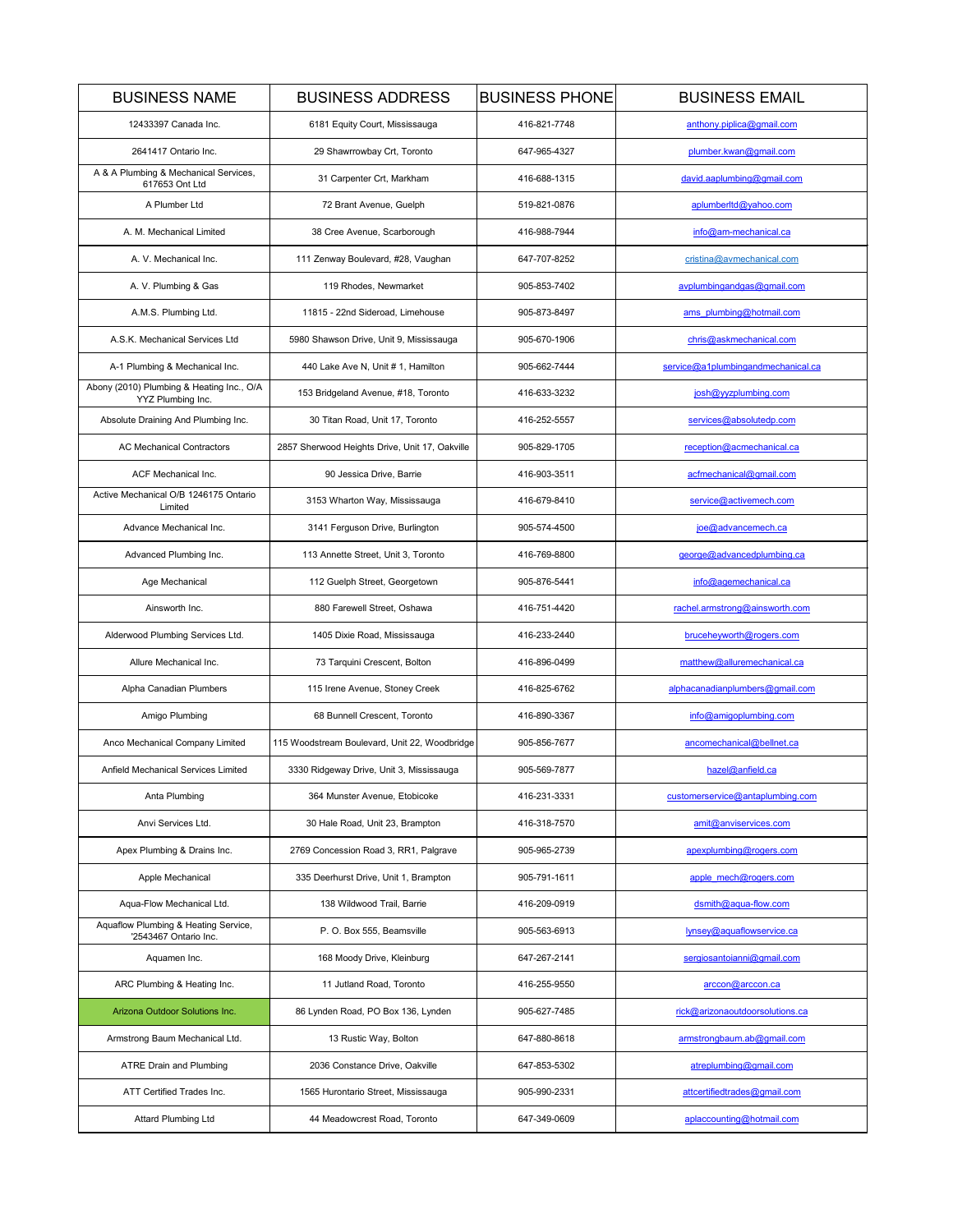| <b>BUSINESS NAME</b>                                           | <b>BUSINESS ADDRESS</b>                        | <b>BUSINESS PHONE</b> | <b>BUSINESS EMAIL</b>              |
|----------------------------------------------------------------|------------------------------------------------|-----------------------|------------------------------------|
| 12433397 Canada Inc.                                           | 6181 Equity Court, Mississauga                 | 416-821-7748          | anthony.piplica@gmail.com          |
| 2641417 Ontario Inc.                                           | 29 Shawrrowbay Crt, Toronto                    | 647-965-4327          | plumber.kwan@gmail.com             |
| A & A Plumbing & Mechanical Services,<br>617653 Ont Ltd        | 31 Carpenter Crt, Markham                      | 416-688-1315          | david.aaplumbing@gmail.com         |
| A Plumber Ltd                                                  | 72 Brant Avenue, Guelph                        | 519-821-0876          | aplumberltd@yahoo.com              |
| A. M. Mechanical Limited                                       | 38 Cree Avenue, Scarborough                    | 416-988-7944          | info@am-mechanical.ca              |
| A. V. Mechanical Inc.                                          | 111 Zenway Boulevard, #28, Vaughan             | 647-707-8252          | cristina@avmechanical.com          |
| A. V. Plumbing & Gas                                           | 119 Rhodes, Newmarket                          | 905-853-7402          | avplumbingandgas@gmail.com         |
| A.M.S. Plumbing Ltd.                                           | 11815 - 22nd Sideroad, Limehouse               | 905-873-8497          | ams plumbing@hotmail.com           |
| A.S.K. Mechanical Services Ltd                                 | 5980 Shawson Drive, Unit 9, Mississauga        | 905-670-1906          | chris@askmechanical.com            |
| A-1 Plumbing & Mechanical Inc.                                 | 440 Lake Ave N, Unit # 1, Hamilton             | 905-662-7444          | service@a1plumbingandmechanical.ca |
| Abony (2010) Plumbing & Heating Inc., O/A<br>YYZ Plumbing Inc. | 153 Bridgeland Avenue, #18, Toronto            | 416-633-3232          | josh@yyzplumbing.com               |
| Absolute Draining And Plumbing Inc.                            | 30 Titan Road, Unit 17, Toronto                | 416-252-5557          | services@absolutedp.com            |
| <b>AC Mechanical Contractors</b>                               | 2857 Sherwood Heights Drive, Unit 17, Oakville | 905-829-1705          | reception@acmechanical.ca          |
| <b>ACF Mechanical Inc.</b>                                     | 90 Jessica Drive, Barrie                       | 416-903-3511          | acfmechanical@gmail.com            |
| Active Mechanical O/B 1246175 Ontario<br>Limited               | 3153 Wharton Way, Mississauga                  | 416-679-8410          | service@activemech.com             |
| Advance Mechanical Inc.                                        | 3141 Ferguson Drive, Burlington                | 905-574-4500          | joe@advancemech.ca                 |
| Advanced Plumbing Inc.                                         | 113 Annette Street, Unit 3, Toronto            | 416-769-8800          | george@advancedplumbing.ca         |
| Age Mechanical                                                 | 112 Guelph Street, Georgetown                  | 905-876-5441          | info@agemechanical.ca              |
| Ainsworth Inc.                                                 | 880 Farewell Street. Oshawa                    | 416-751-4420          | rachel.armstrong@ainsworth.com     |
| Alderwood Plumbing Services Ltd.                               | 1405 Dixie Road, Mississauga                   | 416-233-2440          | brucehevworth@rogers.com           |
| Allure Mechanical Inc.                                         | 73 Tarquini Crescent, Bolton                   | 416-896-0499          | matthew@alluremechanical.ca        |
| Alpha Canadian Plumbers                                        | 115 Irene Avenue, Stoney Creek                 | 416-825-6762          | alphacanadianplumbers@gmail.com    |
| Amigo Plumbing                                                 | 68 Bunnell Crescent, Toronto                   | 416-890-3367          | info@amigoplumbing.com             |
| Anco Mechanical Company Limited                                | 115 Woodstream Boulevard, Unit 22, Woodbridge  | 905-856-7677          | ancomechanical@bellnet.ca          |
| Anfield Mechanical Services Limited                            | 3330 Ridgeway Drive, Unit 3, Mississauga       | 905-569-7877          | hazel@anfield.ca                   |
| Anta Plumbing                                                  | 364 Munster Avenue, Etobicoke                  | 416-231-3331          | customerservice@antaplumbing.com   |
| Anvi Services Ltd.                                             | 30 Hale Road, Unit 23, Brampton                | 416-318-7570          | amit@anviservices.com              |
| Apex Plumbing & Drains Inc.                                    | 2769 Concession Road 3, RR1, Palgrave          | 905-965-2739          | apexplumbing@rogers.com            |
| Apple Mechanical                                               | 335 Deerhurst Drive, Unit 1, Brampton          | 905-791-1611          | apple mech@rogers.com              |
| Aqua-Flow Mechanical Ltd.                                      | 138 Wildwood Trail, Barrie                     | 416-209-0919          | dsmith@aqua-flow.com               |
| Aquaflow Plumbing & Heating Service,<br>'2543467 Ontario Inc.  | P. O. Box 555, Beamsville                      | 905-563-6913          | lynsey@aquaflowservice.ca          |
| Aquamen Inc.                                                   | 168 Moody Drive, Kleinburg                     | 647-267-2141          | sergiosantojanni@gmail.com         |
| ARC Plumbing & Heating Inc.                                    | 11 Jutland Road, Toronto                       | 416-255-9550          | arccon@arccon.ca                   |
| Arizona Outdoor Solutions Inc.                                 | 86 Lynden Road, PO Box 136, Lynden             | 905-627-7485          | rick@arizonaoutdoorsolutions.ca    |
| Armstrong Baum Mechanical Ltd.                                 | 13 Rustic Way, Bolton                          | 647-880-8618          | armstrongbaum.ab@gmail.com         |
| <b>ATRE Drain and Plumbing</b>                                 | 2036 Constance Drive, Oakville                 | 647-853-5302          | atreplumbing@gmail.com             |
| ATT Certified Trades Inc.                                      | 1565 Hurontario Street, Mississauga            | 905-990-2331          | attcertifiedtrades@gmail.com       |
| <b>Attard Plumbing Ltd</b>                                     | 44 Meadowcrest Road, Toronto                   | 647-349-0609          | aplaccounting@hotmail.com          |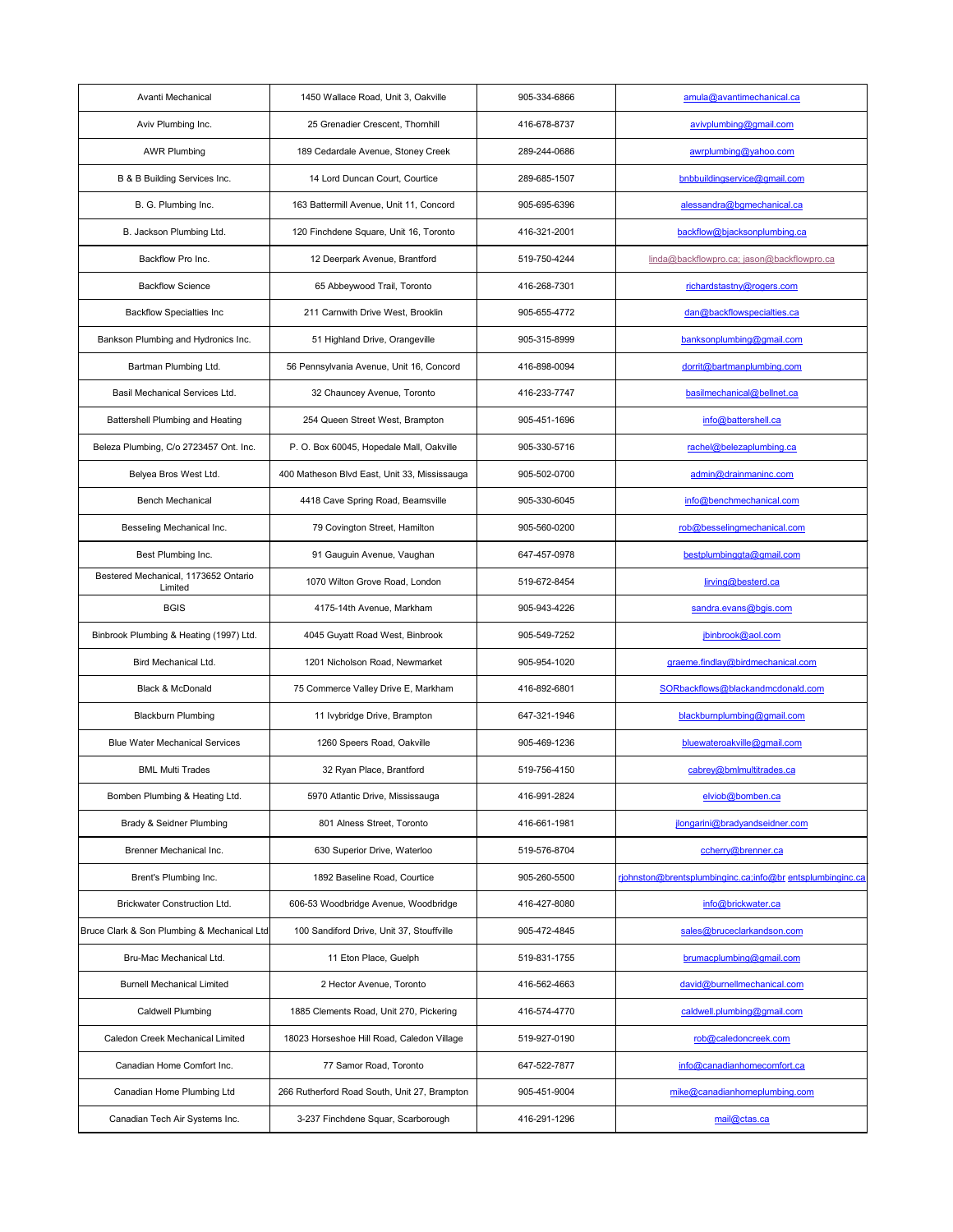| Avanti Mechanical                               | 1450 Wallace Road, Unit 3, Oakville          | 905-334-6866 | amula@avantimechanical.ca                                 |
|-------------------------------------------------|----------------------------------------------|--------------|-----------------------------------------------------------|
| Aviv Plumbing Inc.                              | 25 Grenadier Crescent, Thornhill             | 416-678-8737 | avivplumbing@gmail.com                                    |
| <b>AWR Plumbing</b>                             | 189 Cedardale Avenue, Stoney Creek           | 289-244-0686 | awrplumbing@yahoo.com                                     |
| B & B Building Services Inc.                    | 14 Lord Duncan Court, Courtice               | 289-685-1507 | bnbbuildingservice@gmail.com                              |
| B. G. Plumbing Inc.                             | 163 Battermill Avenue, Unit 11, Concord      | 905-695-6396 | alessandra@bgmechanical.ca                                |
| B. Jackson Plumbing Ltd.                        | 120 Finchdene Square, Unit 16, Toronto       | 416-321-2001 | backflow@bjacksonplumbing.ca                              |
| Backflow Pro Inc.                               | 12 Deerpark Avenue, Brantford                | 519-750-4244 | linda@backflowpro.ca; jason@backflowpro.ca                |
| <b>Backflow Science</b>                         | 65 Abbeywood Trail, Toronto                  | 416-268-7301 | richardstastny@rogers.com                                 |
| <b>Backflow Specialties Inc</b>                 | 211 Carnwith Drive West, Brooklin            | 905-655-4772 | dan@backflowspecialties.ca                                |
| Bankson Plumbing and Hydronics Inc.             | 51 Highland Drive, Orangeville               | 905-315-8999 | banksonplumbing@gmail.com                                 |
| Bartman Plumbing Ltd.                           | 56 Pennsylvania Avenue, Unit 16, Concord     | 416-898-0094 | dorrit@bartmanplumbing.com                                |
| Basil Mechanical Services Ltd.                  | 32 Chauncey Avenue, Toronto                  | 416-233-7747 | basilmechanical@bellnet.ca                                |
| <b>Battershell Plumbing and Heating</b>         | 254 Queen Street West, Brampton              | 905-451-1696 | info@battershell.ca                                       |
| Beleza Plumbing, C/o 2723457 Ont. Inc.          | P. O. Box 60045, Hopedale Mall, Oakville     | 905-330-5716 | rachel@belezaplumbing.ca                                  |
| Belyea Bros West Ltd.                           | 400 Matheson Blvd East, Unit 33, Mississauga | 905-502-0700 | admin@drainmaninc.com                                     |
| <b>Bench Mechanical</b>                         | 4418 Cave Spring Road, Beamsville            | 905-330-6045 | info@benchmechanical.com                                  |
| Besseling Mechanical Inc.                       | 79 Covington Street, Hamilton                | 905-560-0200 | rob@besselingmechanical.com                               |
| Best Plumbing Inc.                              | 91 Gauguin Avenue, Vaughan                   | 647-457-0978 | bestplumbinggta@gmail.com                                 |
| Bestered Mechanical, 1173652 Ontario<br>Limited | 1070 Wilton Grove Road, London               | 519-672-8454 | lirving@besterd.ca                                        |
| <b>BGIS</b>                                     | 4175-14th Avenue, Markham                    | 905-943-4226 | sandra.evans@bgis.com                                     |
| Binbrook Plumbing & Heating (1997) Ltd.         | 4045 Guyatt Road West, Binbrook              | 905-549-7252 | jbinbrook@aol.com                                         |
| Bird Mechanical Ltd.                            | 1201 Nicholson Road, Newmarket               | 905-954-1020 | graeme.findlay@birdmechanical.com                         |
| <b>Black &amp; McDonald</b>                     | 75 Commerce Valley Drive E, Markham          | 416-892-6801 | SORbackflows@blackandmcdonald.com                         |
| <b>Blackburn Plumbing</b>                       | 11 Ivybridge Drive, Brampton                 | 647-321-1946 | blackburnplumbing@gmail.com                               |
| <b>Blue Water Mechanical Services</b>           | 1260 Speers Road, Oakville                   | 905-469-1236 | bluewateroakville@gmail.com                               |
| <b>BML Multi Trades</b>                         | 32 Ryan Place, Brantford                     | 519-756-4150 | cabrey@bmlmultitrades.ca                                  |
| Bomben Plumbing & Heating Ltd.                  | 5970 Atlantic Drive, Mississauga             | 416-991-2824 | elviob@bomben.ca                                          |
| Brady & Seidner Plumbing                        | 801 Alness Street, Toronto                   | 416-661-1981 | jlongarini@bradyandseidner.com                            |
| Brenner Mechanical Inc.                         | 630 Superior Drive, Waterloo                 | 519-576-8704 | ccherry@brenner.ca                                        |
| Brent's Plumbing Inc.                           | 1892 Baseline Road, Courtice                 | 905-260-5500 | rjohnston@brentsplumbinginc.ca;info@br entsplumbinginc.ca |
| <b>Brickwater Construction Ltd.</b>             | 606-53 Woodbridge Avenue, Woodbridge         | 416-427-8080 | info@brickwater.ca                                        |
| Bruce Clark & Son Plumbing & Mechanical Ltd     | 100 Sandiford Drive, Unit 37, Stouffville    | 905-472-4845 | sales@bruceclarkandson.com                                |
| Bru-Mac Mechanical Ltd.                         | 11 Eton Place, Guelph                        | 519-831-1755 | brumacplumbing@gmail.com                                  |
| <b>Burnell Mechanical Limited</b>               | 2 Hector Avenue, Toronto                     | 416-562-4663 | david@burnellmechanical.com                               |
| <b>Caldwell Plumbing</b>                        | 1885 Clements Road, Unit 270, Pickering      | 416-574-4770 | caldwell.plumbing@gmail.com                               |
| Caledon Creek Mechanical Limited                | 18023 Horseshoe Hill Road, Caledon Village   | 519-927-0190 | rob@caledoncreek.com                                      |
| Canadian Home Comfort Inc.                      | 77 Samor Road, Toronto                       | 647-522-7877 | info@canadianhomecomfort.ca                               |
| Canadian Home Plumbing Ltd                      | 266 Rutherford Road South, Unit 27, Brampton | 905-451-9004 | mike@canadianhomeplumbing.com                             |
| Canadian Tech Air Systems Inc.                  | 3-237 Finchdene Squar, Scarborough           | 416-291-1296 | mail@ctas.ca                                              |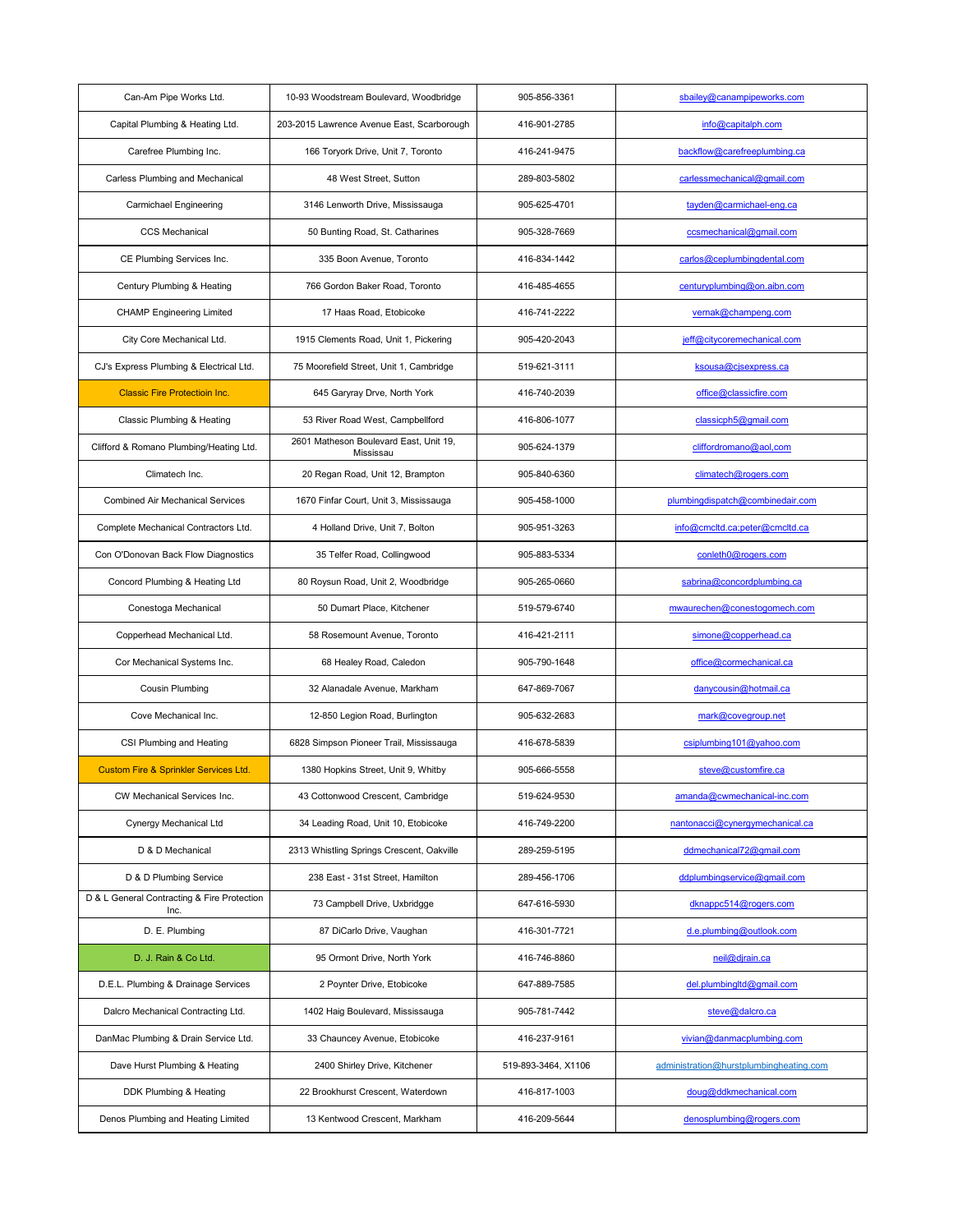| Can-Am Pipe Works Ltd.                              | 10-93 Woodstream Boulevard, Woodbridge              | 905-856-3361        | sbailey@canampipeworks.com              |
|-----------------------------------------------------|-----------------------------------------------------|---------------------|-----------------------------------------|
| Capital Plumbing & Heating Ltd.                     | 203-2015 Lawrence Avenue East, Scarborough          | 416-901-2785        | info@capitalph.com                      |
| Carefree Plumbing Inc.                              | 166 Toryork Drive, Unit 7, Toronto                  | 416-241-9475        | backflow@carefreeplumbing.ca            |
| <b>Carless Plumbing and Mechanical</b>              | 48 West Street, Sutton                              | 289-803-5802        | carlessmechanical@gmail.com             |
| <b>Carmichael Engineering</b>                       | 3146 Lenworth Drive, Mississauga                    | 905-625-4701        | tayden@carmichael-eng.ca                |
| <b>CCS Mechanical</b>                               | 50 Bunting Road, St. Catharines                     | 905-328-7669        | ccsmechanical@gmail.com                 |
| CE Plumbing Services Inc.                           | 335 Boon Avenue, Toronto                            | 416-834-1442        | carlos@ceplumbingdental.com             |
| Century Plumbing & Heating                          | 766 Gordon Baker Road, Toronto                      | 416-485-4655        | centuryplumbing@on.aibn.com             |
| <b>CHAMP Engineering Limited</b>                    | 17 Haas Road, Etobicoke                             | 416-741-2222        | vernak@champeng.com                     |
| City Core Mechanical Ltd.                           | 1915 Clements Road, Unit 1, Pickering               | 905-420-2043        | jeff@citycoremechanical.com             |
| CJ's Express Plumbing & Electrical Ltd.             | 75 Moorefield Street, Unit 1, Cambridge             | 519-621-3111        | ksousa@cjsexpress.ca                    |
| <b>Classic Fire Protectioin Inc.</b>                | 645 Garyray Drve, North York                        | 416-740-2039        | office@classicfire.com                  |
| <b>Classic Plumbing &amp; Heating</b>               | 53 River Road West, Campbellford                    | 416-806-1077        | classicph5@gmail.com                    |
| Clifford & Romano Plumbing/Heating Ltd.             | 2601 Matheson Boulevard East, Unit 19,<br>Mississau | 905-624-1379        | cliffordromano@aol,com                  |
| Climatech Inc.                                      | 20 Regan Road, Unit 12, Brampton                    | 905-840-6360        | climatech@rogers.com                    |
| <b>Combined Air Mechanical Services</b>             | 1670 Finfar Court, Unit 3, Mississauga              | 905-458-1000        | plumbingdispatch@combinedair.com        |
| Complete Mechanical Contractors Ltd.                | 4 Holland Drive, Unit 7, Bolton                     | 905-951-3263        | info@cmcltd.ca;peter@cmcltd.ca          |
| Con O'Donovan Back Flow Diagnostics                 | 35 Telfer Road, Collingwood                         | 905-883-5334        | conleth0@rogers.com                     |
| Concord Plumbing & Heating Ltd                      | 80 Roysun Road, Unit 2, Woodbridge                  | 905-265-0660        | sabrina@concordplumbing.ca              |
| Conestoga Mechanical                                | 50 Dumart Place, Kitchener                          | 519-579-6740        | mwaurechen@conestogomech.com            |
| Copperhead Mechanical Ltd.                          | 58 Rosemount Avenue, Toronto                        | 416-421-2111        | simone@copperhead.ca                    |
| Cor Mechanical Systems Inc.                         | 68 Healey Road, Caledon                             | 905-790-1648        | office@cormechanical.ca                 |
| <b>Cousin Plumbing</b>                              | 32 Alanadale Avenue, Markham                        | 647-869-7067        | danycousin@hotmail.ca                   |
| Cove Mechanical Inc.                                | 12-850 Legion Road, Burlington                      | 905-632-2683        | mark@covegroup.net                      |
| CSI Plumbing and Heating                            | 6828 Simpson Pioneer Trail, Mississauga             | 416-678-5839        | csiplumbing101@yahoo.com                |
| <b>Custom Fire &amp; Sprinkler Services Ltd.</b>    | 1380 Hopkins Street, Unit 9, Whitby                 | 905-666-5558        | steve@customfire.ca                     |
| <b>CW Mechanical Services Inc.</b>                  | 43 Cottonwood Crescent, Cambridge                   | 519-624-9530        | amanda@cwmechanical-inc.com             |
| Cynergy Mechanical Ltd                              | 34 Leading Road, Unit 10, Etobicoke                 | 416-749-2200        | nantonacci@cynergymechanical.ca         |
| D & D Mechanical                                    | 2313 Whistling Springs Crescent, Oakville           | 289-259-5195        | ddmechanical72@gmail.com                |
| D & D Plumbing Service                              | 238 East - 31st Street, Hamilton                    | 289-456-1706        | ddplumbingservice@gmail.com             |
| D & L General Contracting & Fire Protection<br>Inc. | 73 Campbell Drive, Uxbridgge                        | 647-616-5930        | dknappc514@rogers.com                   |
| D. E. Plumbing                                      | 87 DiCarlo Drive, Vaughan                           | 416-301-7721        | d.e.plumbing@outlook.com                |
| D. J. Rain & Co Ltd.                                | 95 Ormont Drive, North York                         | 416-746-8860        | neil@djrain.ca                          |
| D.E.L. Plumbing & Drainage Services                 | 2 Poynter Drive, Etobicoke                          | 647-889-7585        | del.plumbingltd@gmail.com               |
| Dalcro Mechanical Contracting Ltd.                  | 1402 Haig Boulevard, Mississauga                    | 905-781-7442        | steve@dalcro.ca                         |
| DanMac Plumbing & Drain Service Ltd.                | 33 Chauncey Avenue, Etobicoke                       | 416-237-9161        | vivian@danmacplumbing.com               |
| Dave Hurst Plumbing & Heating                       | 2400 Shirley Drive, Kitchener                       | 519-893-3464, X1106 | administration@hurstplumbingheating.com |
| DDK Plumbing & Heating                              | 22 Brookhurst Crescent, Waterdown                   | 416-817-1003        | doug@ddkmechanical.com                  |
| Denos Plumbing and Heating Limited                  | 13 Kentwood Crescent, Markham                       | 416-209-5644        | denosplumbing@rogers.com                |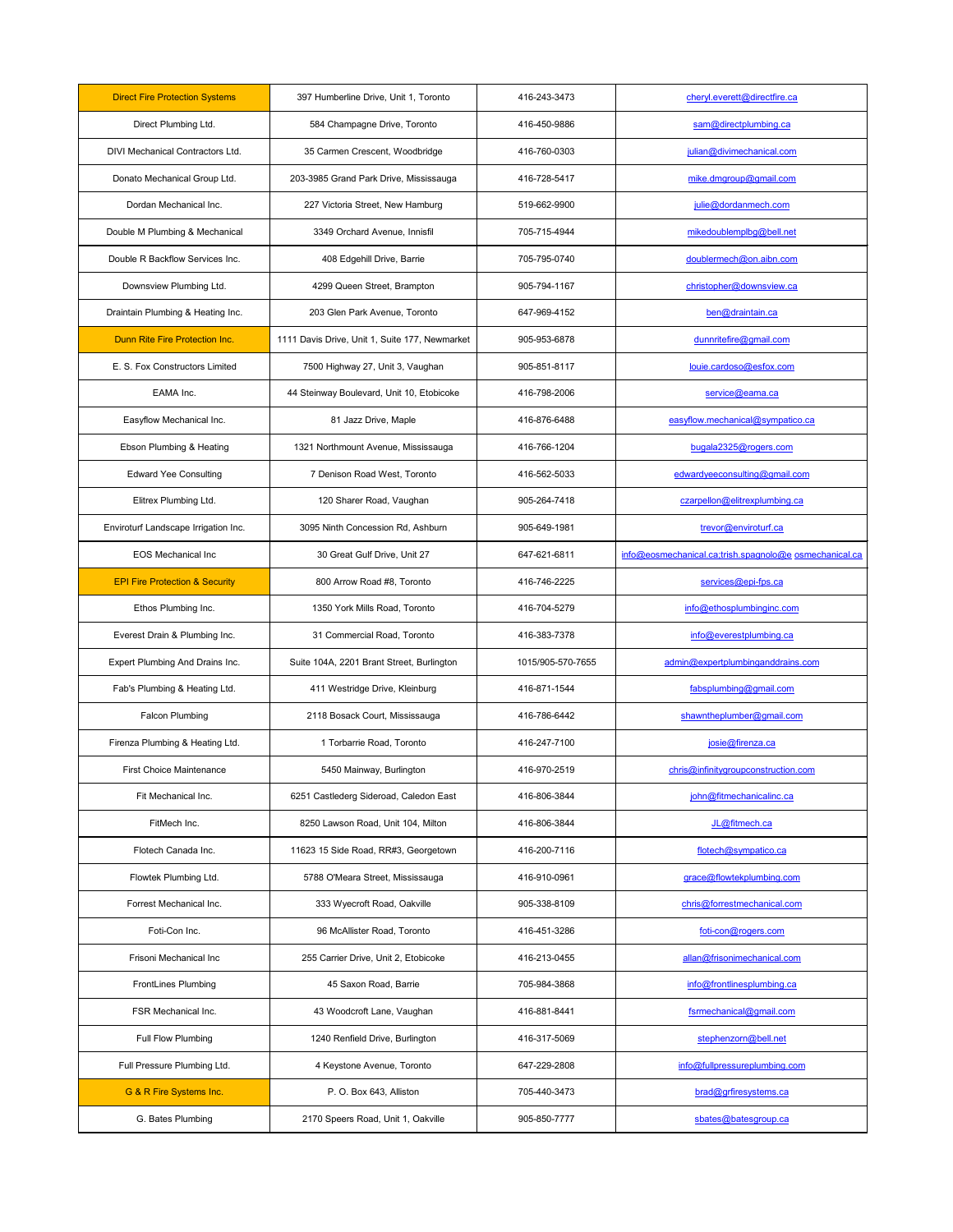| <b>Direct Fire Protection Systems</b>     | 397 Humberline Drive, Unit 1, Toronto          | 416-243-3473      | cheryl.everett@directfire.ca                           |
|-------------------------------------------|------------------------------------------------|-------------------|--------------------------------------------------------|
| Direct Plumbing Ltd.                      | 584 Champagne Drive, Toronto                   | 416-450-9886      | sam@directplumbing.ca                                  |
| DIVI Mechanical Contractors Ltd.          | 35 Carmen Crescent, Woodbridge                 | 416-760-0303      | julian@divimechanical.com                              |
| Donato Mechanical Group Ltd.              | 203-3985 Grand Park Drive, Mississauga         | 416-728-5417      | mike.dmgroup@gmail.com                                 |
| Dordan Mechanical Inc.                    | 227 Victoria Street, New Hamburg               | 519-662-9900      | julie@dordanmech.com                                   |
| Double M Plumbing & Mechanical            | 3349 Orchard Avenue, Innisfil                  | 705-715-4944      | mikedoublemplbg@bell.net                               |
| Double R Backflow Services Inc.           | 408 Edgehill Drive, Barrie                     | 705-795-0740      | doublermech@on.aibn.com                                |
| Downsview Plumbing Ltd.                   | 4299 Queen Street, Brampton                    | 905-794-1167      | christopher@downsview.ca                               |
| Draintain Plumbing & Heating Inc.         | 203 Glen Park Avenue, Toronto                  | 647-969-4152      | ben@draintain.ca                                       |
| Dunn Rite Fire Protection Inc.            | 1111 Davis Drive, Unit 1, Suite 177, Newmarket | 905-953-6878      | dunnritefire@gmail.com                                 |
| E. S. Fox Constructors Limited            | 7500 Highway 27, Unit 3, Vaughan               | 905-851-8117      | louie.cardoso@esfox.com                                |
| EAMA Inc.                                 | 44 Steinway Boulevard, Unit 10, Etobicoke      | 416-798-2006      | service@eama.ca                                        |
| Easyflow Mechanical Inc.                  | 81 Jazz Drive, Maple                           | 416-876-6488      | easyflow.mechanical@sympatico.ca                       |
| Ebson Plumbing & Heating                  | 1321 Northmount Avenue, Mississauga            | 416-766-1204      | bugala2325@rogers.com                                  |
| <b>Edward Yee Consulting</b>              | 7 Denison Road West, Toronto                   | 416-562-5033      | edwardyeeconsulting@gmail.com                          |
| Elitrex Plumbing Ltd.                     | 120 Sharer Road, Vaughan                       | 905-264-7418      | czarpellon@elitrexplumbing.ca                          |
| Enviroturf Landscape Irrigation Inc.      | 3095 Ninth Concession Rd, Ashburn              | 905-649-1981      | trevor@enviroturf.ca                                   |
| <b>EOS Mechanical Inc.</b>                | 30 Great Gulf Drive, Unit 27                   | 647-621-6811      | info@eosmechanical.ca;trish.spagnolo@e osmechanical.ca |
| <b>EPI Fire Protection &amp; Security</b> | 800 Arrow Road #8, Toronto                     | 416-746-2225      | services@epi-fps.ca                                    |
| Ethos Plumbing Inc.                       | 1350 York Mills Road, Toronto                  | 416-704-5279      | info@ethosplumbinginc.com                              |
| Everest Drain & Plumbing Inc.             | 31 Commercial Road, Toronto                    | 416-383-7378      | info@everestplumbing.ca                                |
| Expert Plumbing And Drains Inc.           | Suite 104A, 2201 Brant Street, Burlington      | 1015/905-570-7655 | admin@expertplumbinganddrains.com                      |
| Fab's Plumbing & Heating Ltd.             | 411 Westridge Drive, Kleinburg                 | 416-871-1544      | fabsplumbing@gmail.com                                 |
| <b>Falcon Plumbing</b>                    | 2118 Bosack Court, Mississauga                 | 416-786-6442      | shawntheplumber@gmail.com                              |
| Firenza Plumbing & Heating Ltd.           | 1 Torbarrie Road, Toronto                      | 416-247-7100      | josie@firenza.ca                                       |
| <b>First Choice Maintenance</b>           | 5450 Mainway, Burlington                       | 416-970-2519      | chris@infinitygroupconstruction.com                    |
| Fit Mechanical Inc.                       | 6251 Castlederg Sideroad, Caledon East         | 416-806-3844      | john@fitmechanicalinc.ca                               |
| FitMech Inc.                              | 8250 Lawson Road, Unit 104, Milton             | 416-806-3844      | JL@fitmech.ca                                          |
| Flotech Canada Inc.                       | 11623 15 Side Road, RR#3, Georgetown           | 416-200-7116      | flotech@sympatico.ca                                   |
| Flowtek Plumbing Ltd.                     | 5788 O'Meara Street, Mississauga               | 416-910-0961      | grace@flowtekplumbing.com                              |
| Forrest Mechanical Inc.                   | 333 Wyecroft Road, Oakville                    | 905-338-8109      | chris@forrestmechanical.com                            |
| Foti-Con Inc.                             | 96 McAllister Road, Toronto                    | 416-451-3286      | foti-con@rogers.com                                    |
| Frisoni Mechanical Inc                    | 255 Carrier Drive, Unit 2, Etobicoke           | 416-213-0455      | allan@frisonimechanical.com                            |
| <b>FrontLines Plumbing</b>                | 45 Saxon Road, Barrie                          | 705-984-3868      | info@frontlinesplumbing.ca                             |
| FSR Mechanical Inc.                       | 43 Woodcroft Lane, Vaughan                     | 416-881-8441      | fsrmechanical@gmail.com                                |
| Full Flow Plumbing                        | 1240 Renfield Drive, Burlington                | 416-317-5069      | stephenzorn@bell.net                                   |
| Full Pressure Plumbing Ltd.               | 4 Keystone Avenue, Toronto                     | 647-229-2808      | info@fullpressureplumbing.com                          |
| G & R Fire Systems Inc.                   | P. O. Box 643, Alliston                        | 705-440-3473      | brad@grfiresystems.ca                                  |
| G. Bates Plumbing                         | 2170 Speers Road, Unit 1, Oakville             | 905-850-7777      | sbates@batesgroup.ca                                   |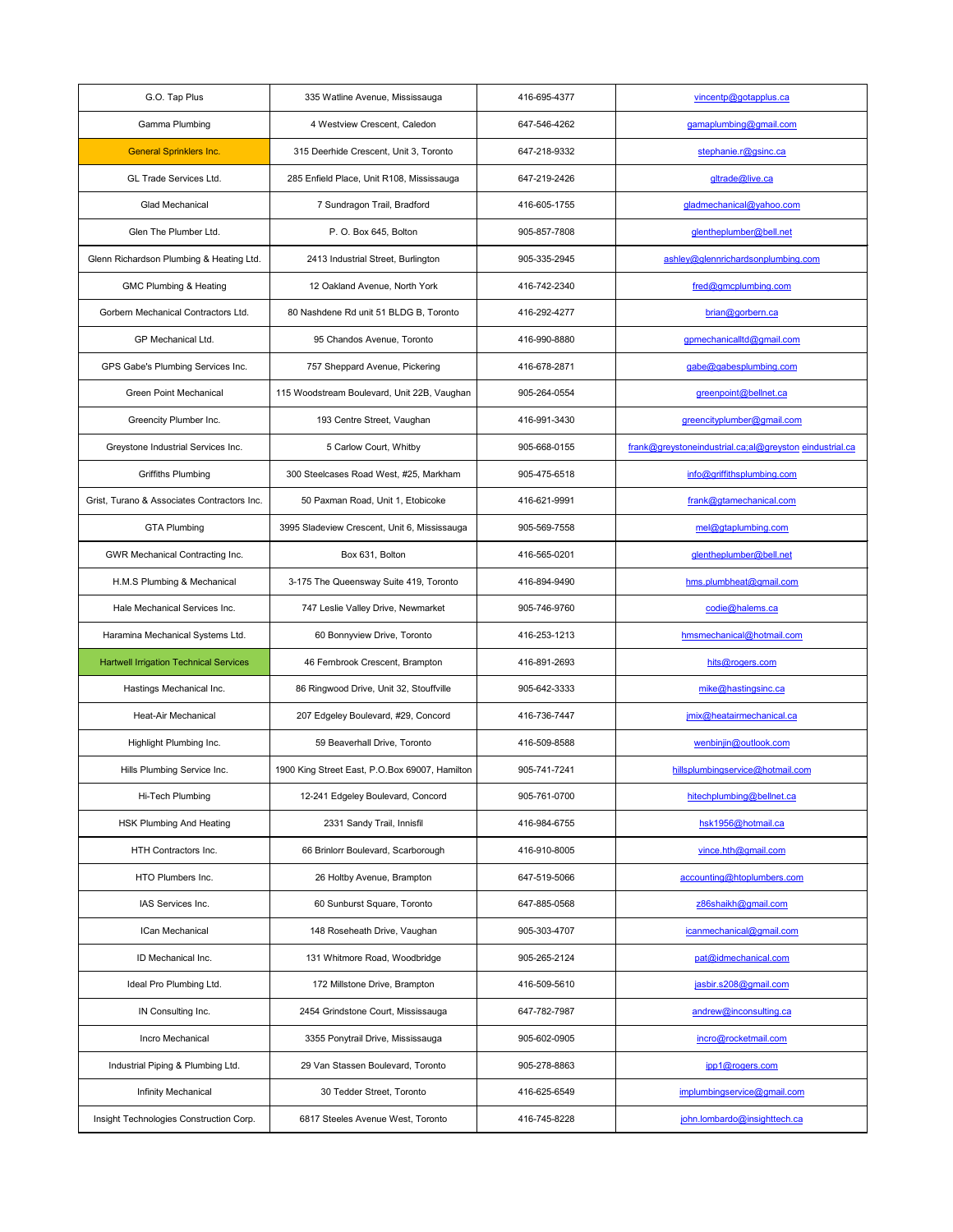| G.O. Tap Plus                                 | 335 Watline Avenue, Mississauga                | 416-695-4377 | vincentp@gotapplus.ca                                   |
|-----------------------------------------------|------------------------------------------------|--------------|---------------------------------------------------------|
| Gamma Plumbing                                | 4 Westview Crescent, Caledon                   | 647-546-4262 | gamaplumbing@gmail.com                                  |
| <b>General Sprinklers Inc.</b>                | 315 Deerhide Crescent, Unit 3, Toronto         | 647-218-9332 | stephanie.r@gsinc.ca                                    |
| <b>GL Trade Services Ltd.</b>                 | 285 Enfield Place, Unit R108, Mississauga      | 647-219-2426 | gltrade@live.ca                                         |
| <b>Glad Mechanical</b>                        | 7 Sundragon Trail, Bradford                    | 416-605-1755 | gladmechanical@yahoo.com                                |
| Glen The Plumber Ltd.                         | P.O. Box 645, Bolton                           | 905-857-7808 | glentheplumber@bell.net                                 |
| Glenn Richardson Plumbing & Heating Ltd.      | 2413 Industrial Street, Burlington             | 905-335-2945 | ashley@glennrichardsonplumbing.com                      |
| <b>GMC Plumbing &amp; Heating</b>             | 12 Oakland Avenue, North York                  | 416-742-2340 | fred@gmcplumbing.com                                    |
| Gorbern Mechanical Contractors Ltd.           | 80 Nashdene Rd unit 51 BLDG B, Toronto         | 416-292-4277 | brian@gorbern.ca                                        |
| <b>GP Mechanical Ltd.</b>                     | 95 Chandos Avenue, Toronto                     | 416-990-8880 | gpmechanicalltd@gmail.com                               |
| GPS Gabe's Plumbing Services Inc.             | 757 Sheppard Avenue, Pickering                 | 416-678-2871 | gabe@gabesplumbing.com                                  |
| <b>Green Point Mechanical</b>                 | 115 Woodstream Boulevard, Unit 22B, Vaughan    | 905-264-0554 | greenpoint@bellnet.ca                                   |
| Greencity Plumber Inc.                        | 193 Centre Street, Vaughan                     | 416-991-3430 | greencityplumber@gmail.com                              |
| Greystone Industrial Services Inc.            | 5 Carlow Court, Whitby                         | 905-668-0155 | frank@greystoneindustrial.ca;al@greyston_eindustrial.ca |
| <b>Griffiths Plumbing</b>                     | 300 Steelcases Road West, #25, Markham         | 905-475-6518 | info@griffithsplumbing.com                              |
| Grist, Turano & Associates Contractors Inc.   | 50 Paxman Road, Unit 1, Etobicoke              | 416-621-9991 | frank@gtamechanical.com                                 |
| <b>GTA Plumbing</b>                           | 3995 Sladeview Crescent, Unit 6, Mississauga   | 905-569-7558 | mel@gtaplumbing.com                                     |
| GWR Mechanical Contracting Inc.               | Box 631, Bolton                                | 416-565-0201 | glentheplumber@bell.net                                 |
| H.M.S Plumbing & Mechanical                   | 3-175 The Queensway Suite 419, Toronto         | 416-894-9490 | hms.plumbheat@gmail.com                                 |
| Hale Mechanical Services Inc.                 | 747 Leslie Valley Drive, Newmarket             | 905-746-9760 | codie@halems.ca                                         |
| Haramina Mechanical Systems Ltd.              | 60 Bonnyview Drive, Toronto                    | 416-253-1213 | hmsmechanical@hotmail.com                               |
| <b>Hartwell Irrigation Technical Services</b> | 46 Fernbrook Crescent, Brampton                | 416-891-2693 | hits@rogers.com                                         |
| Hastings Mechanical Inc.                      | 86 Ringwood Drive, Unit 32, Stouffville        | 905-642-3333 | mike@hastingsinc.ca                                     |
| <b>Heat-Air Mechanical</b>                    | 207 Edgeley Boulevard, #29, Concord            | 416-736-7447 | jmix@heatairmechanical.ca                               |
| Highlight Plumbing Inc.                       | 59 Beaverhall Drive, Toronto                   | 416-509-8588 | wenbinjin@outlook.com                                   |
| Hills Plumbing Service Inc.                   | 1900 King Street East, P.O.Box 69007, Hamilton | 905-741-7241 | hillsplumbingservice@hotmail.com                        |
| Hi-Tech Plumbing                              | 12-241 Edgeley Boulevard, Concord              | 905-761-0700 | hitechplumbing@bellnet.ca                               |
| HSK Plumbing And Heating                      | 2331 Sandy Trail, Innisfil                     | 416-984-6755 | hsk1956@hotmail.ca                                      |
| <b>HTH Contractors Inc.</b>                   | 66 Brinlorr Boulevard, Scarborough             | 416-910-8005 | vince.hth@gmail.com                                     |
| HTO Plumbers Inc.                             | 26 Holtby Avenue, Brampton                     | 647-519-5066 | accounting@htoplumbers.com                              |
| IAS Services Inc.                             | 60 Sunburst Square, Toronto                    | 647-885-0568 | z86shaikh@gmail.com                                     |
| <b>ICan Mechanical</b>                        | 148 Roseheath Drive, Vaughan                   | 905-303-4707 | icanmechanical@gmail.com                                |
| ID Mechanical Inc.                            | 131 Whitmore Road, Woodbridge                  | 905-265-2124 | pat@idmechanical.com                                    |
| Ideal Pro Plumbing Ltd.                       | 172 Millstone Drive, Brampton                  | 416-509-5610 | jasbir.s208@gmail.com                                   |
| IN Consulting Inc.                            | 2454 Grindstone Court, Mississauga             | 647-782-7987 | andrew@inconsulting.ca                                  |
| Incro Mechanical                              | 3355 Ponytrail Drive, Mississauga              | 905-602-0905 | incro@rocketmail.com                                    |
| Industrial Piping & Plumbing Ltd.             | 29 Van Stassen Boulevard, Toronto              | 905-278-8863 | ipp1@rogers.com                                         |
| Infinity Mechanical                           | 30 Tedder Street, Toronto                      | 416-625-6549 | implumbingservice@gmail.com                             |
| Insight Technologies Construction Corp.       | 6817 Steeles Avenue West, Toronto              | 416-745-8228 | john.lombardo@insighttech.ca                            |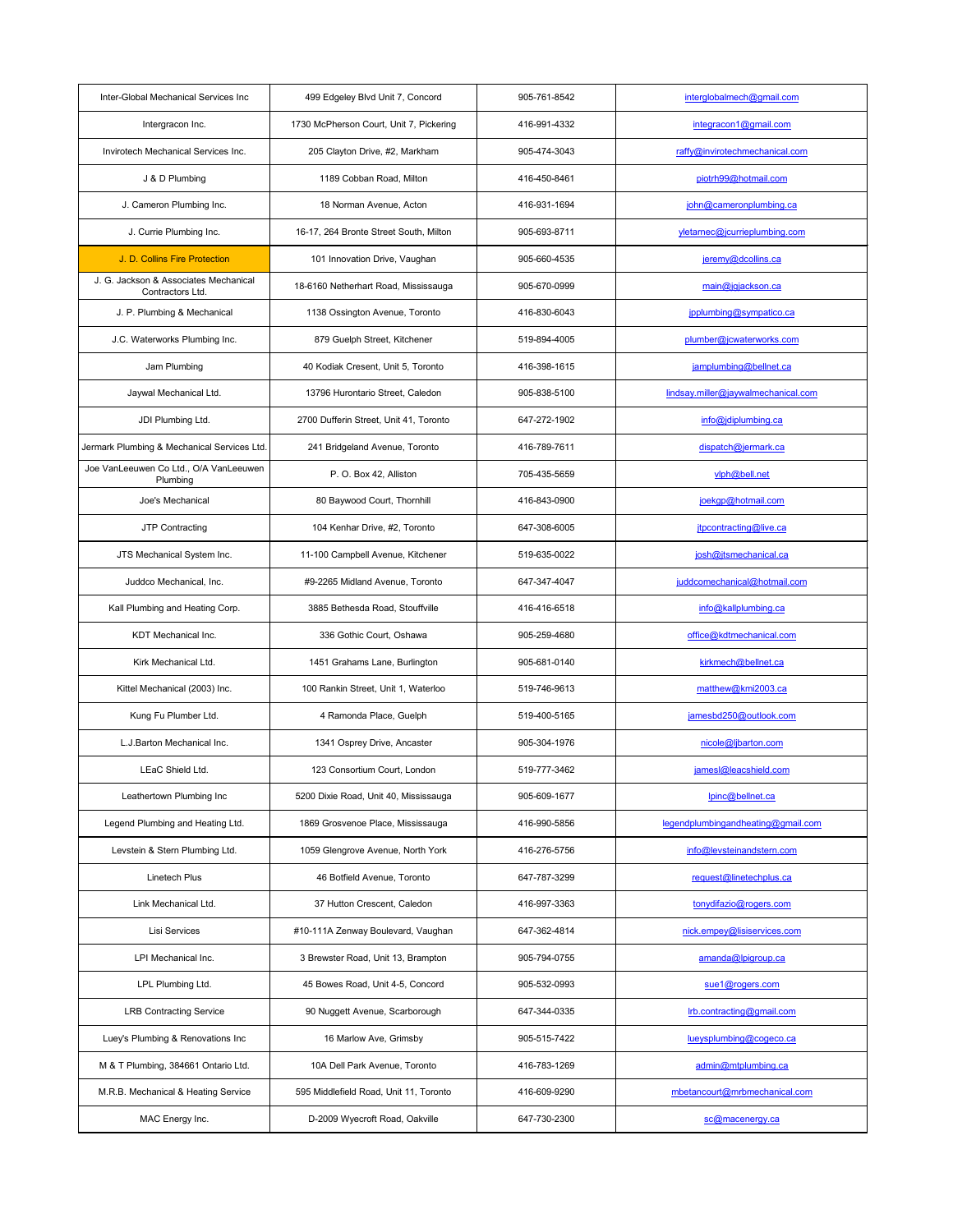| Inter-Global Mechanical Services Inc                      | 499 Edgeley Blvd Unit 7, Concord        | 905-761-8542 | interglobalmech@gmail.com           |
|-----------------------------------------------------------|-----------------------------------------|--------------|-------------------------------------|
| Intergracon Inc.                                          | 1730 McPherson Court, Unit 7, Pickering | 416-991-4332 | integracon1@gmail.com               |
| Invirotech Mechanical Services Inc.                       | 205 Clayton Drive, #2, Markham          | 905-474-3043 | raffy@invirotechmechanical.com      |
| J & D Plumbing                                            | 1189 Cobban Road, Milton                | 416-450-8461 | piotrh99@hotmail.com                |
| J. Cameron Plumbing Inc.                                  | 18 Norman Avenue, Acton                 | 416-931-1694 | john@cameronplumbing.ca             |
| J. Currie Plumbing Inc.                                   | 16-17, 264 Bronte Street South, Milton  | 905-693-8711 | yletarnec@jcurrieplumbing.com       |
| J. D. Collins Fire Protection                             | 101 Innovation Drive, Vaughan           | 905-660-4535 | jeremy@dcollins.ca                  |
| J. G. Jackson & Associates Mechanical<br>Contractors Ltd. | 18-6160 Netherhart Road, Mississauga    | 905-670-0999 | main@jgjackson.ca                   |
| J. P. Plumbing & Mechanical                               | 1138 Ossington Avenue, Toronto          | 416-830-6043 | jpplumbing@sympatico.ca             |
| J.C. Waterworks Plumbing Inc.                             | 879 Guelph Street, Kitchener            | 519-894-4005 | plumber@jcwaterworks.com            |
| Jam Plumbing                                              | 40 Kodiak Cresent, Unit 5, Toronto      | 416-398-1615 | jamplumbing@bellnet.ca              |
| Jaywal Mechanical Ltd.                                    | 13796 Hurontario Street, Caledon        | 905-838-5100 | lindsay.miller@jaywalmechanical.com |
| JDI Plumbing Ltd.                                         | 2700 Dufferin Street, Unit 41, Toronto  | 647-272-1902 | info@jdiplumbing.ca                 |
| Jermark Plumbing & Mechanical Services Ltd.               | 241 Bridgeland Avenue, Toronto          | 416-789-7611 | dispatch@jermark.ca                 |
| Joe VanLeeuwen Co Ltd., O/A VanLeeuwen<br>Plumbing        | P. O. Box 42, Alliston                  | 705-435-5659 | vlph@bell.net                       |
| Joe's Mechanical                                          | 80 Baywood Court, Thornhill             | 416-843-0900 | joekgp@hotmail.com                  |
| JTP Contracting                                           | 104 Kenhar Drive, #2, Toronto           | 647-308-6005 | jtpcontracting@live.ca              |
| JTS Mechanical System Inc.                                | 11-100 Campbell Avenue, Kitchener       | 519-635-0022 | josh@jtsmechanical.ca               |
| Juddco Mechanical, Inc.                                   | #9-2265 Midland Avenue, Toronto         | 647-347-4047 | juddcomechanical@hotmail.com        |
| Kall Plumbing and Heating Corp.                           | 3885 Bethesda Road, Stouffville         | 416-416-6518 | info@kallplumbing.ca                |
| <b>KDT</b> Mechanical Inc.                                | 336 Gothic Court, Oshawa                | 905-259-4680 | office@kdtmechanical.com            |
| Kirk Mechanical Ltd.                                      | 1451 Grahams Lane, Burlington           | 905-681-0140 | kirkmech@bellnet.ca                 |
| Kittel Mechanical (2003) Inc.                             | 100 Rankin Street, Unit 1, Waterloo     | 519-746-9613 | matthew@kmi2003.ca                  |
| Kung Fu Plumber Ltd.                                      | 4 Ramonda Place, Guelph                 | 519-400-5165 | jamesbd250@outlook.com              |
| L.J.Barton Mechanical Inc.                                | 1341 Osprey Drive, Ancaster             | 905-304-1976 | nicole@ljbarton.com                 |
| LEaC Shield Ltd.                                          | 123 Consortium Court, London            | 519-777-3462 | jamesl@leacshield.com               |
| Leathertown Plumbing Inc                                  | 5200 Dixie Road, Unit 40, Mississauga   | 905-609-1677 | lpinc@bellnet.ca                    |
| Legend Plumbing and Heating Ltd.                          | 1869 Grosvenoe Place, Mississauga       | 416-990-5856 | legendplumbingandheating@gmail.com  |
| Levstein & Stern Plumbing Ltd.                            | 1059 Glengrove Avenue, North York       | 416-276-5756 | info@levsteinandstern.com           |
| <b>Linetech Plus</b>                                      | 46 Botfield Avenue, Toronto             | 647-787-3299 | request@linetechplus.ca             |
| Link Mechanical Ltd.                                      | 37 Hutton Crescent, Caledon             | 416-997-3363 | tonydifazio@rogers.com              |
| Lisi Services                                             | #10-111A Zenway Boulevard, Vaughan      | 647-362-4814 | nick.empey@lisiservices.com         |
| LPI Mechanical Inc.                                       | 3 Brewster Road, Unit 13, Brampton      | 905-794-0755 | amanda@lpigroup.ca                  |
| LPL Plumbing Ltd.                                         | 45 Bowes Road, Unit 4-5, Concord        | 905-532-0993 | sue1@rogers.com                     |
| <b>LRB Contracting Service</b>                            | 90 Nuggett Avenue, Scarborough          | 647-344-0335 | lrb.contracting@gmail.com           |
| Luey's Plumbing & Renovations Inc                         | 16 Marlow Ave, Grimsby                  | 905-515-7422 | lueysplumbing@cogeco.ca             |
| M & T Plumbing, 384661 Ontario Ltd.                       | 10A Dell Park Avenue, Toronto           | 416-783-1269 | admin@mtplumbing.ca                 |
| M.R.B. Mechanical & Heating Service                       | 595 Middlefield Road, Unit 11, Toronto  | 416-609-9290 | mbetancourt@mrbmechanical.com       |
| MAC Energy Inc.                                           | D-2009 Wyecroft Road, Oakville          | 647-730-2300 | sc@macenergy.ca                     |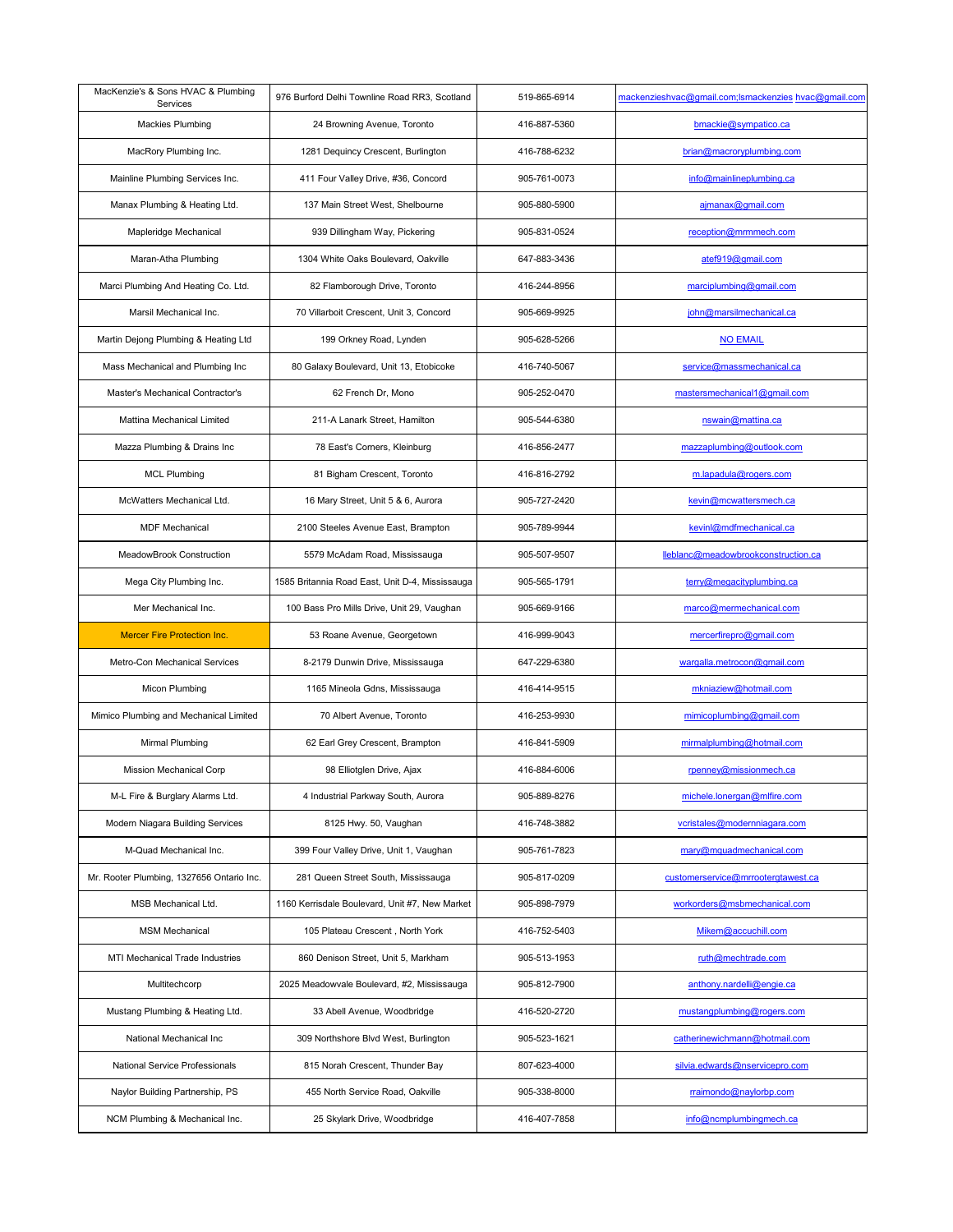| MacKenzie's & Sons HVAC & Plumbing<br><b>Services</b> | 976 Burford Delhi Townline Road RR3, Scotland   | 519-865-6914 | mackenzieshvac@gmail.com;Ismackenzies hvac@gmail.com |
|-------------------------------------------------------|-------------------------------------------------|--------------|------------------------------------------------------|
| <b>Mackies Plumbing</b>                               | 24 Browning Avenue, Toronto                     | 416-887-5360 | bmackie@sympatico.ca                                 |
| MacRory Plumbing Inc.                                 | 1281 Dequincy Crescent, Burlington              | 416-788-6232 | brian@macroryplumbing.com                            |
| Mainline Plumbing Services Inc.                       | 411 Four Valley Drive, #36, Concord             | 905-761-0073 | info@mainlineplumbing.ca                             |
| Manax Plumbing & Heating Ltd.                         | 137 Main Street West, Shelbourne                | 905-880-5900 | ajmanax@gmail.com                                    |
| Mapleridge Mechanical                                 | 939 Dillingham Way, Pickering                   | 905-831-0524 | reception@mrmmech.com                                |
| Maran-Atha Plumbing                                   | 1304 White Oaks Boulevard, Oakville             | 647-883-3436 | atef919@gmail.com                                    |
| Marci Plumbing And Heating Co. Ltd.                   | 82 Flamborough Drive, Toronto                   | 416-244-8956 | marciplumbing@gmail.com                              |
| Marsil Mechanical Inc.                                | 70 Villarboit Crescent, Unit 3, Concord         | 905-669-9925 | john@marsilmechanical.ca                             |
| Martin Dejong Plumbing & Heating Ltd                  | 199 Orkney Road, Lynden                         | 905-628-5266 | <b>NO EMAIL</b>                                      |
| Mass Mechanical and Plumbing Inc                      | 80 Galaxy Boulevard, Unit 13, Etobicoke         | 416-740-5067 | service@massmechanical.ca                            |
| <b>Master's Mechanical Contractor's</b>               | 62 French Dr, Mono                              | 905-252-0470 | mastersmechanical1@gmail.com                         |
| Mattina Mechanical Limited                            | 211-A Lanark Street, Hamilton                   | 905-544-6380 | nswain@mattina.ca                                    |
| Mazza Plumbing & Drains Inc                           | 78 East's Corners, Kleinburg                    | 416-856-2477 | mazzaplumbing@outlook.com                            |
| <b>MCL Plumbing</b>                                   | 81 Bigham Crescent, Toronto                     | 416-816-2792 | m.lapadula@rogers.com                                |
| McWatters Mechanical Ltd.                             | 16 Mary Street, Unit 5 & 6, Aurora              | 905-727-2420 | kevin@mcwattersmech.ca                               |
| <b>MDF Mechanical</b>                                 | 2100 Steeles Avenue East, Brampton              | 905-789-9944 | kevinl@mdfmechanical.ca                              |
| <b>MeadowBrook Construction</b>                       | 5579 McAdam Road, Mississauga                   | 905-507-9507 | lleblanc@meadowbrookconstruction.ca                  |
| Mega City Plumbing Inc.                               | 1585 Britannia Road East, Unit D-4, Mississauga | 905-565-1791 | terry@megacityplumbing.ca                            |
| Mer Mechanical Inc.                                   | 100 Bass Pro Mills Drive, Unit 29, Vaughan      | 905-669-9166 | marco@mermechanical.com                              |
| <b>Mercer Fire Protection Inc.</b>                    | 53 Roane Avenue, Georgetown                     | 416-999-9043 | mercerfirepro@gmail.com                              |
| <b>Metro-Con Mechanical Services</b>                  | 8-2179 Dunwin Drive, Mississauga                | 647-229-6380 | wargalla.metrocon@gmail.com                          |
| Micon Plumbing                                        | 1165 Mineola Gdns, Mississauga                  | 416-414-9515 | mkniaziew@hotmail.com                                |
| Mimico Plumbing and Mechanical Limited                | 70 Albert Avenue, Toronto                       | 416-253-9930 | mimicoplumbing@gmail.com                             |
| Mirmal Plumbing                                       | 62 Earl Grey Crescent, Brampton                 | 416-841-5909 | mirmalplumbing@hotmail.com                           |
| <b>Mission Mechanical Corp</b>                        | 98 Elliotglen Drive, Ajax                       | 416-884-6006 | rpenney@missionmech.ca                               |
| M-L Fire & Burglary Alarms Ltd.                       | 4 Industrial Parkway South, Aurora              | 905-889-8276 | michele.lonergan@mlfire.com                          |
| Modern Niagara Building Services                      | 8125 Hwy. 50, Vaughan                           | 416-748-3882 | vcristales@modernniagara.com                         |
| M-Quad Mechanical Inc.                                | 399 Four Valley Drive, Unit 1, Vaughan          | 905-761-7823 | mary@mquadmechanical.com                             |
| Mr. Rooter Plumbing, 1327656 Ontario Inc.             | 281 Queen Street South, Mississauga             | 905-817-0209 | customerservice@mrrootergtawest.ca                   |
| <b>MSB Mechanical Ltd.</b>                            | 1160 Kerrisdale Boulevard, Unit #7, New Market  | 905-898-7979 | workorders@msbmechanical.com                         |
| <b>MSM Mechanical</b>                                 | 105 Plateau Crescent, North York                | 416-752-5403 | Mikem@accuchill.com                                  |
| MTI Mechanical Trade Industries                       | 860 Denison Street, Unit 5, Markham             | 905-513-1953 | ruth@mechtrade.com                                   |
| Multitechcorp                                         | 2025 Meadowvale Boulevard, #2, Mississauga      | 905-812-7900 | anthony.nardelli@engie.ca                            |
| Mustang Plumbing & Heating Ltd.                       | 33 Abell Avenue, Woodbridge                     | 416-520-2720 | mustangplumbing@rogers.com                           |
| National Mechanical Inc                               | 309 Northshore Blvd West, Burlington            | 905-523-1621 | catherinewichmann@hotmail.com                        |
| <b>National Service Professionals</b>                 | 815 Norah Crescent, Thunder Bay                 | 807-623-4000 | silvia.edwards@nservicepro.com                       |
| Naylor Building Partnership, PS                       | 455 North Service Road, Oakville                | 905-338-8000 | rraimondo@naylorbp.com                               |
| NCM Plumbing & Mechanical Inc.                        | 25 Skylark Drive, Woodbridge                    | 416-407-7858 | info@ncmplumbingmech.ca                              |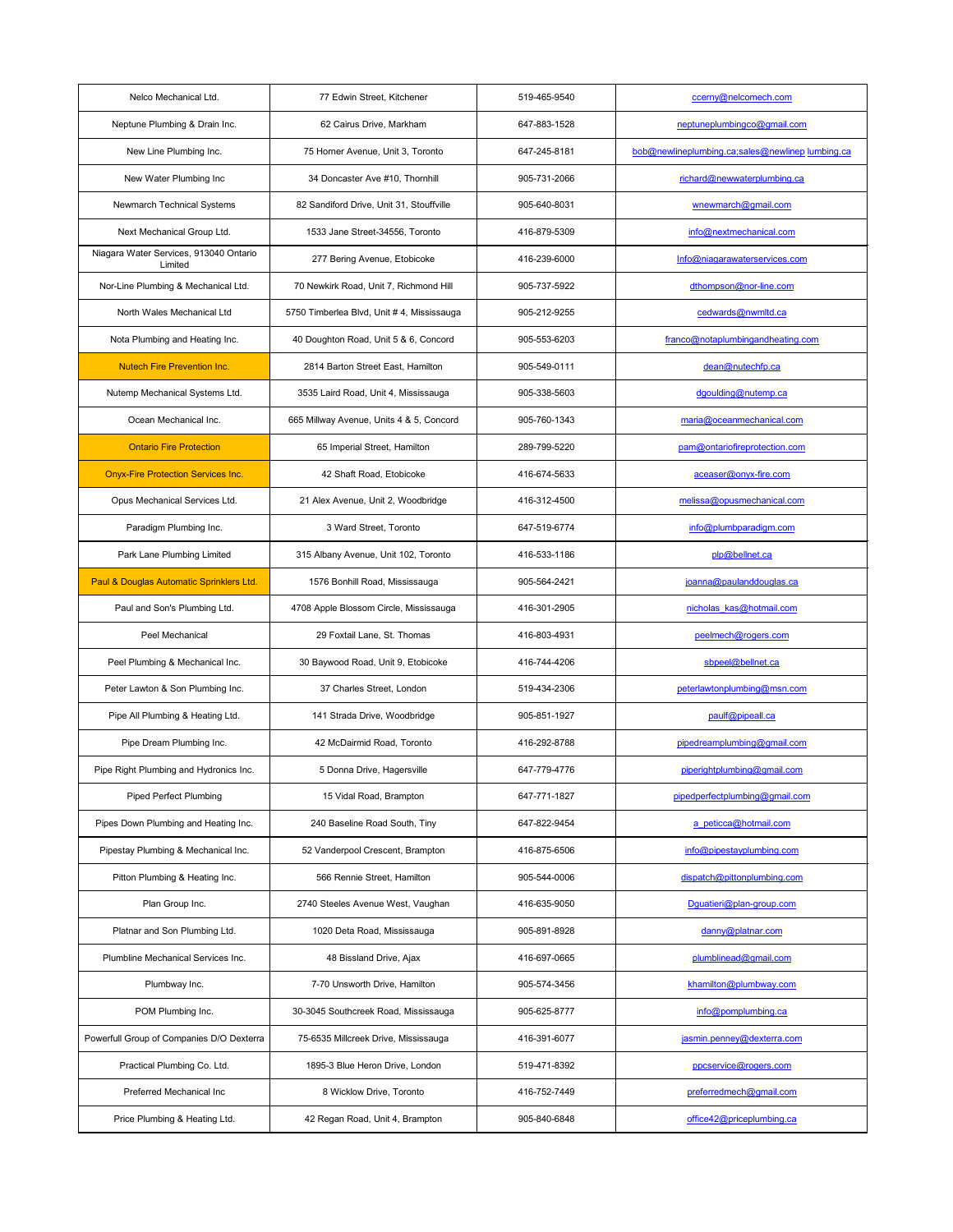| Nelco Mechanical Ltd.                             | 77 Edwin Street, Kitchener                | 519-465-9540 | ccerny@nelcomech.com                             |
|---------------------------------------------------|-------------------------------------------|--------------|--------------------------------------------------|
| Neptune Plumbing & Drain Inc.                     | 62 Cairus Drive, Markham                  | 647-883-1528 | neptuneplumbingco@gmail.com                      |
| New Line Plumbing Inc.                            | 75 Horner Avenue, Unit 3, Toronto         | 647-245-8181 | bob@newlineplumbing.ca;sales@newlinep lumbing.ca |
| New Water Plumbing Inc                            | 34 Doncaster Ave #10, Thornhill           | 905-731-2066 | richard@newwaterplumbing.ca                      |
| Newmarch Technical Systems                        | 82 Sandiford Drive, Unit 31, Stouffville  | 905-640-8031 | wnewmarch@gmail.com                              |
| Next Mechanical Group Ltd.                        | 1533 Jane Street-34556, Toronto           | 416-879-5309 | info@nextmechanical.com                          |
| Niagara Water Services, 913040 Ontario<br>Limited | 277 Bering Avenue, Etobicoke              | 416-239-6000 | Info@niagarawaterservices.com                    |
| Nor-Line Plumbing & Mechanical Ltd.               | 70 Newkirk Road, Unit 7, Richmond Hill    | 905-737-5922 | dthompson@nor-line.com                           |
| North Wales Mechanical Ltd                        | 5750 Timberlea Blvd, Unit #4, Mississauga | 905-212-9255 | cedwards@nwmltd.ca                               |
| Nota Plumbing and Heating Inc.                    | 40 Doughton Road, Unit 5 & 6, Concord     | 905-553-6203 | franco@notaplumbingandheating.com                |
| <b>Nutech Fire Prevention Inc.</b>                | 2814 Barton Street East, Hamilton         | 905-549-0111 | dean@nutechfp.ca                                 |
| Nutemp Mechanical Systems Ltd.                    | 3535 Laird Road, Unit 4, Mississauga      | 905-338-5603 | dgoulding@nutemp.ca                              |
| Ocean Mechanical Inc.                             | 665 Millway Avenue, Units 4 & 5, Concord  | 905-760-1343 | maria@oceanmechanical.com                        |
| <b>Ontario Fire Protection</b>                    | 65 Imperial Street, Hamilton              | 289-799-5220 | pam@ontariofireprotection.com                    |
| <b>Onyx-Fire Protection Services Inc.</b>         | 42 Shaft Road, Etobicoke                  | 416-674-5633 | aceaser@onyx-fire.com                            |
| Opus Mechanical Services Ltd.                     | 21 Alex Avenue, Unit 2, Woodbridge        | 416-312-4500 | melissa@opusmechanical.com                       |
| Paradigm Plumbing Inc.                            | 3 Ward Street, Toronto                    | 647-519-6774 | info@plumbparadigm.com                           |
| Park Lane Plumbing Limited                        | 315 Albany Avenue, Unit 102, Toronto      | 416-533-1186 | plp@bellnet.ca                                   |
| Paul & Douglas Automatic Sprinklers Ltd.          | 1576 Bonhill Road, Mississauga            | 905-564-2421 | joanna@paulanddouglas.ca                         |
| Paul and Son's Plumbing Ltd.                      | 4708 Apple Blossom Circle, Mississauga    | 416-301-2905 | nicholas kas@hotmail.com                         |
| Peel Mechanical                                   | 29 Foxtail Lane, St. Thomas               | 416-803-4931 | peelmech@rogers.com                              |
| Peel Plumbing & Mechanical Inc.                   | 30 Baywood Road, Unit 9, Etobicoke        | 416-744-4206 | sbpeel@bellnet.ca                                |
| Peter Lawton & Son Plumbing Inc.                  | 37 Charles Street, London                 | 519-434-2306 | peterlawtonplumbing@msn.com                      |
| Pipe All Plumbing & Heating Ltd.                  | 141 Strada Drive, Woodbridge              | 905-851-1927 | paulf@pipeall.ca                                 |
| Pipe Dream Plumbing Inc.                          | 42 McDairmid Road, Toronto                | 416-292-8788 | pipedreamplumbing@gmail.com                      |
| Pipe Right Plumbing and Hydronics Inc.            | 5 Donna Drive, Hagersville                | 647-779-4776 | piperightplumbing@gmail.com                      |
| <b>Piped Perfect Plumbing</b>                     | 15 Vidal Road, Brampton                   | 647-771-1827 | pipedperfectplumbing@gmail.com                   |
| Pipes Down Plumbing and Heating Inc.              | 240 Baseline Road South, Tiny             | 647-822-9454 | a peticca@hotmail.com                            |
| Pipestay Plumbing & Mechanical Inc.               | 52 Vanderpool Crescent, Brampton          | 416-875-6506 | info@pipestayplumbing.com                        |
| Pitton Plumbing & Heating Inc.                    | 566 Rennie Street, Hamilton               | 905-544-0006 | dispatch@pittonplumbing.com                      |
| Plan Group Inc.                                   | 2740 Steeles Avenue West, Vaughan         | 416-635-9050 | Dguatieri@plan-group.com                         |
| Platnar and Son Plumbing Ltd.                     | 1020 Deta Road, Mississauga               | 905-891-8928 | danny@platnar.com                                |
| Plumbline Mechanical Services Inc.                | 48 Bissland Drive, Ajax                   | 416-697-0665 | plumblinead@gmail.com                            |
| Plumbway Inc.                                     | 7-70 Unsworth Drive, Hamilton             | 905-574-3456 | khamilton@plumbway.com                           |
| POM Plumbing Inc.                                 | 30-3045 Southcreek Road, Mississauga      | 905-625-8777 | info@pomplumbing.ca                              |
| Powerfull Group of Companies D/O Dexterra         | 75-6535 Millcreek Drive, Mississauga      | 416-391-6077 | jasmin.penney@dexterra.com                       |
| Practical Plumbing Co. Ltd.                       | 1895-3 Blue Heron Drive, London           | 519-471-8392 | ppcservice@rogers.com                            |
| Preferred Mechanical Inc.                         | 8 Wicklow Drive, Toronto                  | 416-752-7449 | preferredmech@gmail.com                          |
| Price Plumbing & Heating Ltd.                     | 42 Regan Road, Unit 4, Brampton           | 905-840-6848 | office42@priceplumbing.ca                        |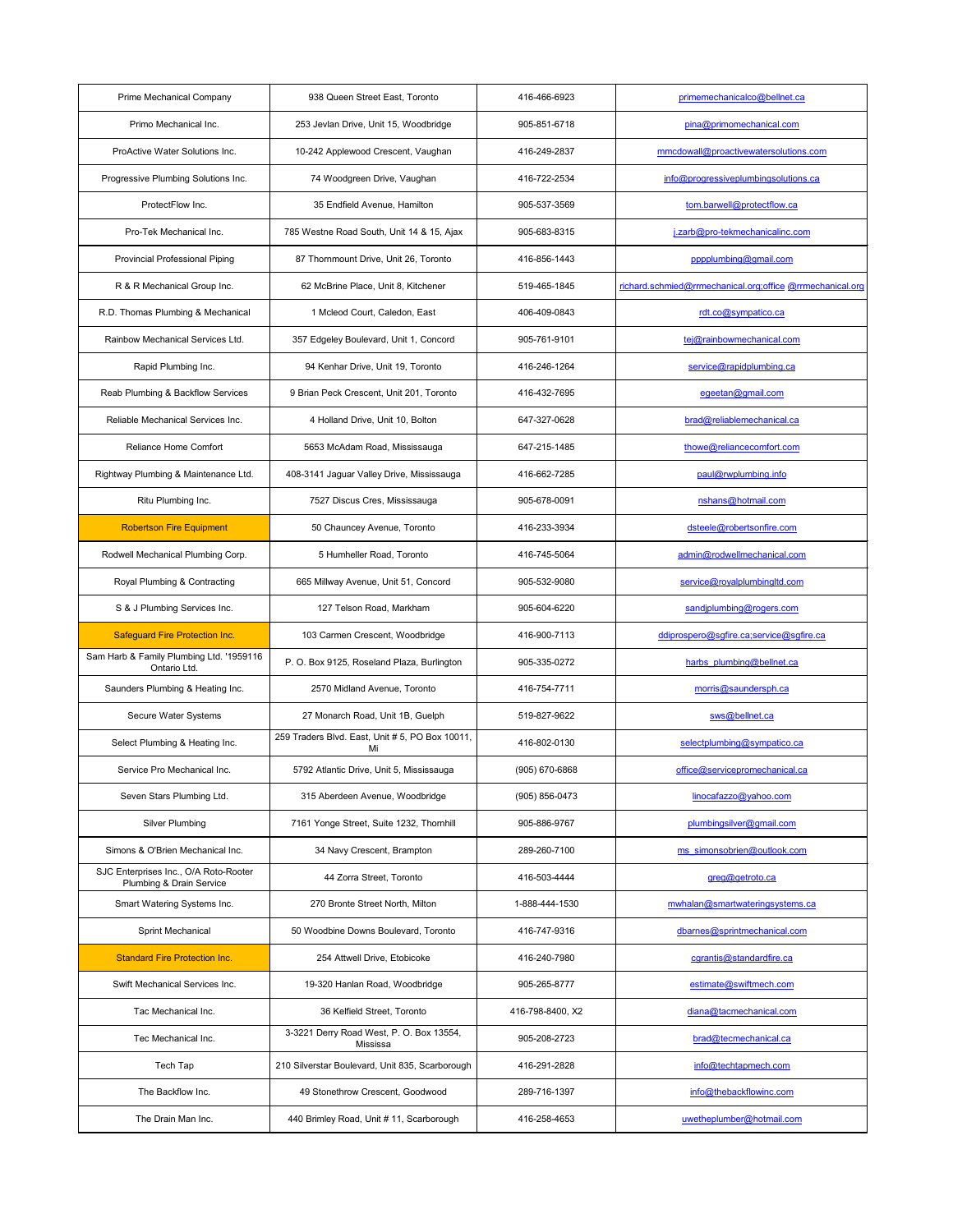| Prime Mechanical Company                                          | 938 Queen Street East, Toronto                        | 416-466-6923     | primemechanicalco@bellnet.ca                              |
|-------------------------------------------------------------------|-------------------------------------------------------|------------------|-----------------------------------------------------------|
| Primo Mechanical Inc.                                             | 253 Jevlan Drive, Unit 15, Woodbridge                 | 905-851-6718     | pina@primomechanical.com                                  |
| ProActive Water Solutions Inc.                                    | 10-242 Applewood Crescent, Vaughan                    | 416-249-2837     | mmcdowall@proactivewatersolutions.com                     |
| Progressive Plumbing Solutions Inc.                               | 74 Woodgreen Drive, Vaughan                           | 416-722-2534     | info@progressiveplumbingsolutions.ca                      |
| ProtectFlow Inc.                                                  | 35 Endfield Avenue, Hamilton                          | 905-537-3569     | tom.barwell@protectflow.ca                                |
| Pro-Tek Mechanical Inc.                                           | 785 Westne Road South, Unit 14 & 15, Ajax             | 905-683-8315     | j.zarb@pro-tekmechanicalinc.com                           |
| <b>Provincial Professional Piping</b>                             | 87 Thornmount Drive, Unit 26, Toronto                 | 416-856-1443     | pppplumbing@gmail.com                                     |
| R & R Mechanical Group Inc.                                       | 62 McBrine Place, Unit 8, Kitchener                   | 519-465-1845     | richard.schmied@rrmechanical.org;office @rrmechanical.org |
| R.D. Thomas Plumbing & Mechanical                                 | 1 Mcleod Court, Caledon, East                         | 406-409-0843     | rdt.co@sympatico.ca                                       |
| Rainbow Mechanical Services Ltd.                                  | 357 Edgeley Boulevard, Unit 1, Concord                | 905-761-9101     | tej@rainbowmechanical.com                                 |
| Rapid Plumbing Inc.                                               | 94 Kenhar Drive, Unit 19, Toronto                     | 416-246-1264     | service@rapidplumbing.ca                                  |
| Reab Plumbing & Backflow Services                                 | 9 Brian Peck Crescent, Unit 201, Toronto              | 416-432-7695     | egeetan@gmail.com                                         |
| Reliable Mechanical Services Inc.                                 | 4 Holland Drive, Unit 10, Bolton                      | 647-327-0628     | brad@reliablemechanical.ca                                |
| Reliance Home Comfort                                             | 5653 McAdam Road, Mississauga                         | 647-215-1485     | thowe@reliancecomfort.com                                 |
| Rightway Plumbing & Maintenance Ltd.                              | 408-3141 Jaguar Valley Drive, Mississauga             | 416-662-7285     | paul@rwplumbing.info                                      |
| Ritu Plumbing Inc.                                                | 7527 Discus Cres, Mississauga                         | 905-678-0091     | nshans@hotmail.com                                        |
| <b>Robertson Fire Equipment</b>                                   | 50 Chauncey Avenue, Toronto                           | 416-233-3934     | dsteele@robertsonfire.com                                 |
| Rodwell Mechanical Plumbing Corp.                                 | 5 Humheller Road, Toronto                             | 416-745-5064     | admin@rodwellmechanical.com                               |
| Royal Plumbing & Contracting                                      | 665 Millway Avenue, Unit 51, Concord                  | 905-532-9080     | service@royalplumbingltd.com                              |
| S & J Plumbing Services Inc.                                      | 127 Telson Road, Markham                              | 905-604-6220     | sandjplumbing@rogers.com                                  |
| <b>Safeguard Fire Protection Inc.</b>                             | 103 Carmen Crescent, Woodbridge                       | 416-900-7113     | ddiprospero@sgfire.ca;service@sgfire.ca                   |
| Sam Harb & Family Plumbing Ltd. '1959116<br>Ontario Ltd.          | P. O. Box 9125, Roseland Plaza, Burlington            | 905-335-0272     | harbs plumbing@bellnet.ca                                 |
| Saunders Plumbing & Heating Inc.                                  | 2570 Midland Avenue, Toronto                          | 416-754-7711     | morris@saundersph.ca                                      |
| Secure Water Systems                                              | 27 Monarch Road, Unit 1B, Guelph                      | 519-827-9622     | sws@bellnet.ca                                            |
| Select Plumbing & Heating Inc.                                    | 259 Traders Blvd. East, Unit # 5, PO Box 10011,<br>Mi | 416-802-0130     | selectplumbing@sympatico.ca                               |
| Service Pro Mechanical Inc.                                       | 5792 Atlantic Drive, Unit 5, Mississauga              | (905) 670-6868   | office@servicepromechanical.ca                            |
| Seven Stars Plumbing Ltd.                                         | 315 Aberdeen Avenue, Woodbridge                       | (905) 856-0473   | linocafazzo@yahoo.com                                     |
| <b>Silver Plumbing</b>                                            | 7161 Yonge Street, Suite 1232, Thornhill              | 905-886-9767     | plumbingsilver@gmail.com                                  |
| Simons & O'Brien Mechanical Inc.                                  | 34 Navy Crescent, Brampton                            | 289-260-7100     | ms simonsobrien@outlook.com                               |
| SJC Enterprises Inc., O/A Roto-Rooter<br>Plumbing & Drain Service | 44 Zorra Street, Toronto                              | 416-503-4444     | greg@getroto.ca                                           |
| Smart Watering Systems Inc.                                       | 270 Bronte Street North, Milton                       | 1-888-444-1530   | mwhalan@smartwateringsystems.ca                           |
| Sprint Mechanical                                                 | 50 Woodbine Downs Boulevard, Toronto                  | 416-747-9316     | dbarnes@sprintmechanical.com                              |
| <b>Standard Fire Protection Inc.</b>                              | 254 Attwell Drive, Etobicoke                          | 416-240-7980     | cgrantis@standardfire.ca                                  |
| Swift Mechanical Services Inc.                                    | 19-320 Hanlan Road, Woodbridge                        | 905-265-8777     | estimate@swiftmech.com                                    |
| Tac Mechanical Inc.                                               | 36 Kelfield Street, Toronto                           | 416-798-8400, X2 | diana@tacmechanical.com                                   |
| Tec Mechanical Inc.                                               | 3-3221 Derry Road West, P. O. Box 13554,<br>Mississa  | 905-208-2723     | brad@tecmechanical.ca                                     |
| Tech Tap                                                          | 210 Silverstar Boulevard, Unit 835, Scarborough       | 416-291-2828     | info@techtapmech.com                                      |
| The Backflow Inc.                                                 | 49 Stonethrow Crescent, Goodwood                      | 289-716-1397     | info@thebackflowinc.com                                   |
| The Drain Man Inc.                                                | 440 Brimley Road, Unit #11, Scarborough               | 416-258-4653     | uwetheplumber@hotmail.com                                 |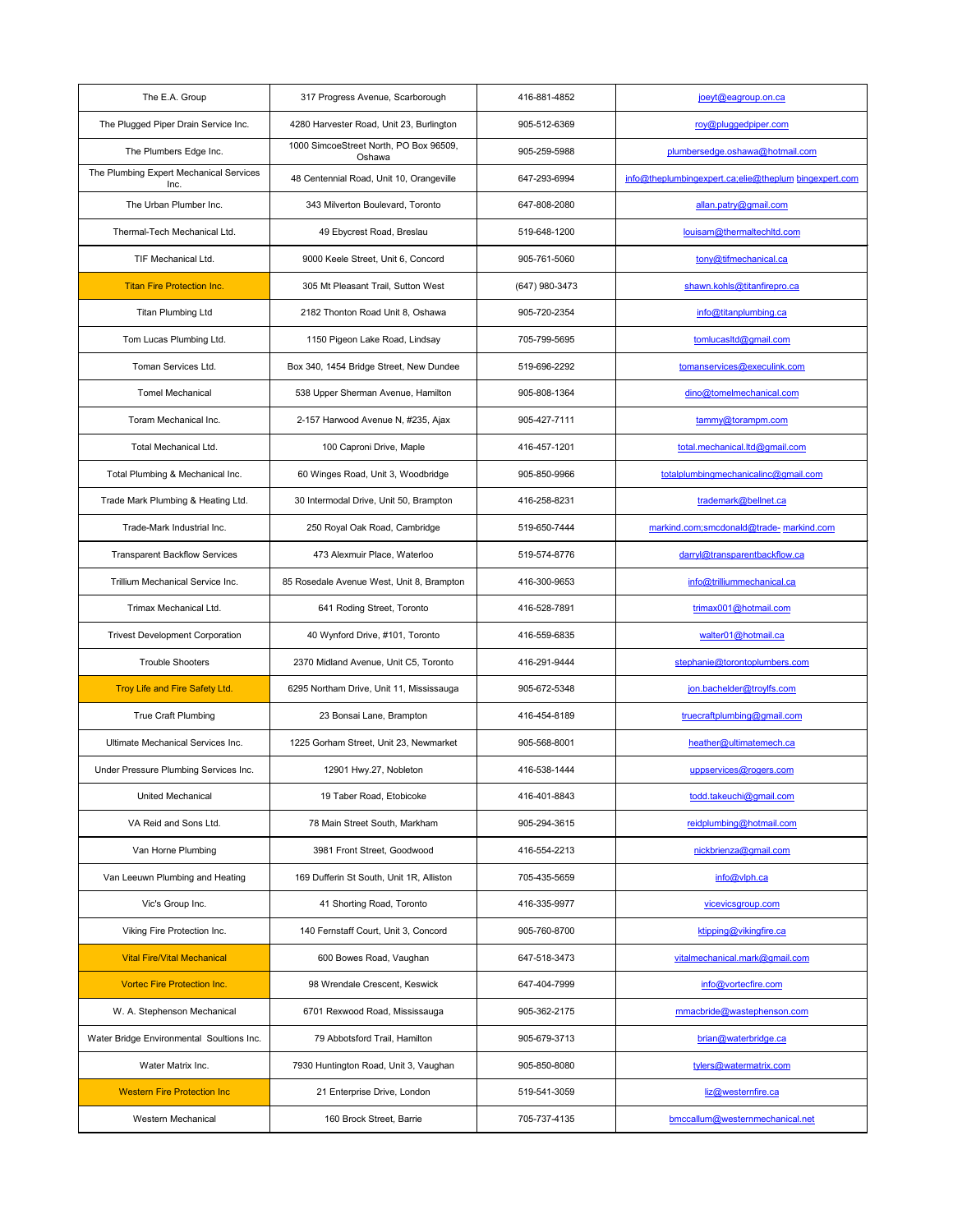| The E.A. Group                                  | 317 Progress Avenue, Scarborough                 | 416-881-4852   | $joeyt@eagroup.$ on.ca                                |
|-------------------------------------------------|--------------------------------------------------|----------------|-------------------------------------------------------|
| The Plugged Piper Drain Service Inc.            | 4280 Harvester Road, Unit 23, Burlington         | 905-512-6369   | roy@pluggedpiper.com                                  |
| The Plumbers Edge Inc.                          | 1000 SimcoeStreet North, PO Box 96509,<br>Oshawa | 905-259-5988   | plumbersedge.oshawa@hotmail.com                       |
| The Plumbing Expert Mechanical Services<br>Inc. | 48 Centennial Road, Unit 10, Orangeville         | 647-293-6994   | info@theplumbingexpert.ca;elie@theplum bingexpert.com |
| The Urban Plumber Inc.                          | 343 Milverton Boulevard, Toronto                 | 647-808-2080   | allan.patry@gmail.com                                 |
| Thermal-Tech Mechanical Ltd.                    | 49 Ebycrest Road, Breslau                        | 519-648-1200   | louisam@thermaltechltd.com                            |
| TIF Mechanical Ltd.                             | 9000 Keele Street, Unit 6, Concord               | 905-761-5060   | tony@tifmechanical.ca                                 |
| <b>Titan Fire Protection Inc.</b>               | 305 Mt Pleasant Trail, Sutton West               | (647) 980-3473 | shawn.kohls@titanfirepro.ca                           |
| <b>Titan Plumbing Ltd</b>                       | 2182 Thonton Road Unit 8, Oshawa                 | 905-720-2354   | info@titanplumbing.ca                                 |
| Tom Lucas Plumbing Ltd.                         | 1150 Pigeon Lake Road, Lindsay                   | 705-799-5695   | tomlucasitd@gmail.com                                 |
| Toman Services Ltd.                             | Box 340, 1454 Bridge Street, New Dundee          | 519-696-2292   | tomanservices@execulink.com                           |
| <b>Tomel Mechanical</b>                         | 538 Upper Sherman Avenue, Hamilton               | 905-808-1364   | dino@tomelmechanical.com                              |
| Toram Mechanical Inc.                           | 2-157 Harwood Avenue N, #235, Ajax               | 905-427-7111   | tammy@torampm.com                                     |
| <b>Total Mechanical Ltd.</b>                    | 100 Caproni Drive, Maple                         | 416-457-1201   | total.mechanical.ltd@gmail.com                        |
| Total Plumbing & Mechanical Inc.                | 60 Winges Road, Unit 3, Woodbridge               | 905-850-9966   | totalplumbingmechanicalinc@gmail.com                  |
| Trade Mark Plumbing & Heating Ltd.              | 30 Intermodal Drive, Unit 50, Brampton           | 416-258-8231   | trademark@bellnet.ca                                  |
| Trade-Mark Industrial Inc.                      | 250 Royal Oak Road, Cambridge                    | 519-650-7444   | markind.com;smcdonald@trade- markind.com              |
| <b>Transparent Backflow Services</b>            | 473 Alexmuir Place, Waterloo                     | 519-574-8776   | darryl@transparentbackflow.ca                         |
| Trillium Mechanical Service Inc.                | 85 Rosedale Avenue West, Unit 8, Brampton        | 416-300-9653   | info@trilliummechanical.ca                            |
| Trimax Mechanical Ltd.                          | 641 Roding Street, Toronto                       | 416-528-7891   | trimax001@hotmail.com                                 |
| <b>Trivest Development Corporation</b>          | 40 Wynford Drive, #101, Toronto                  | 416-559-6835   | walter01@hotmail.ca                                   |
| <b>Trouble Shooters</b>                         | 2370 Midland Avenue, Unit C5, Toronto            | 416-291-9444   | stephanie@torontoplumbers.com                         |
| Troy Life and Fire Safety Ltd.                  | 6295 Northam Drive, Unit 11, Mississauga         | 905-672-5348   | jon.bachelder@troylfs.com                             |
| True Craft Plumbing                             | 23 Bonsai Lane, Brampton                         | 416-454-8189   | truecraftplumbing@gmail.com                           |
| Ultimate Mechanical Services Inc.               | 1225 Gorham Street, Unit 23, Newmarket           | 905-568-8001   | heather@ultimatemech.ca                               |
| Under Pressure Plumbing Services Inc.           | 12901 Hwy.27, Nobleton                           | 416-538-1444   | uppservices@rogers.com                                |
| <b>United Mechanical</b>                        | 19 Taber Road, Etobicoke                         | 416-401-8843   | todd.takeuchi@gmail.com                               |
| VA Reid and Sons Ltd.                           | 78 Main Street South, Markham                    | 905-294-3615   | reidplumbing@hotmail.com                              |
| Van Horne Plumbing                              | 3981 Front Street, Goodwood                      | 416-554-2213   | nickbrienza@gmail.com                                 |
| Van Leeuwn Plumbing and Heating                 | 169 Dufferin St South, Unit 1R, Alliston         | 705-435-5659   | info@vlph.ca                                          |
| Vic's Group Inc.                                | 41 Shorting Road, Toronto                        | 416-335-9977   | vicevicsgroup.com                                     |
| Viking Fire Protection Inc.                     | 140 Fernstaff Court, Unit 3, Concord             | 905-760-8700   | ktipping@vikingfire.ca                                |
| <b>Vital Fire/Vital Mechanical</b>              | 600 Bowes Road, Vaughan                          | 647-518-3473   | vitalmechanical.mark@gmail.com                        |
| <b>Vortec Fire Protection Inc.</b>              | 98 Wrendale Crescent, Keswick                    | 647-404-7999   | info@vortecfire.com                                   |
| W. A. Stephenson Mechanical                     | 6701 Rexwood Road, Mississauga                   | 905-362-2175   | mmacbride@wastephenson.com                            |
| Water Bridge Environmental Soultions Inc.       | 79 Abbotsford Trail. Hamilton                    | 905-679-3713   | brian@waterbridge.ca                                  |
| Water Matrix Inc.                               | 7930 Huntington Road, Unit 3, Vaughan            | 905-850-8080   | tylers@watermatrix.com                                |
| <b>Western Fire Protection Inc.</b>             | 21 Enterprise Drive, London                      | 519-541-3059   | liz@westernfire.ca                                    |
| <b>Western Mechanical</b>                       | 160 Brock Street, Barrie                         | 705-737-4135   | bmccallum@westernmechanical.net                       |